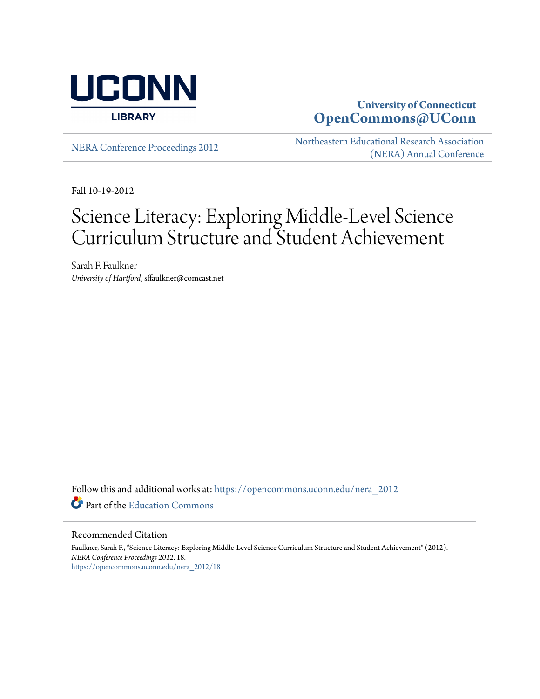

# **University of Connecticut [OpenCommons@UConn](https://opencommons.uconn.edu?utm_source=opencommons.uconn.edu%2Fnera_2012%2F18&utm_medium=PDF&utm_campaign=PDFCoverPages)**

[NERA Conference Proceedings 2012](https://opencommons.uconn.edu/nera_2012?utm_source=opencommons.uconn.edu%2Fnera_2012%2F18&utm_medium=PDF&utm_campaign=PDFCoverPages) [Northeastern Educational Research Association](https://opencommons.uconn.edu/nera?utm_source=opencommons.uconn.edu%2Fnera_2012%2F18&utm_medium=PDF&utm_campaign=PDFCoverPages) [\(NERA\) Annual Conference](https://opencommons.uconn.edu/nera?utm_source=opencommons.uconn.edu%2Fnera_2012%2F18&utm_medium=PDF&utm_campaign=PDFCoverPages)

Fall 10-19-2012

# Science Literacy: Exploring Middle-Level Science Curriculum Structure and Student Achievement

Sarah F. Faulkner *University of Hartford*, sffaulkner@comcast.net

Follow this and additional works at: [https://opencommons.uconn.edu/nera\\_2012](https://opencommons.uconn.edu/nera_2012?utm_source=opencommons.uconn.edu%2Fnera_2012%2F18&utm_medium=PDF&utm_campaign=PDFCoverPages) Part of the [Education Commons](http://network.bepress.com/hgg/discipline/784?utm_source=opencommons.uconn.edu%2Fnera_2012%2F18&utm_medium=PDF&utm_campaign=PDFCoverPages)

#### Recommended Citation

Faulkner, Sarah F., "Science Literacy: Exploring Middle-Level Science Curriculum Structure and Student Achievement" (2012). *NERA Conference Proceedings 2012*. 18. [https://opencommons.uconn.edu/nera\\_2012/18](https://opencommons.uconn.edu/nera_2012/18?utm_source=opencommons.uconn.edu%2Fnera_2012%2F18&utm_medium=PDF&utm_campaign=PDFCoverPages)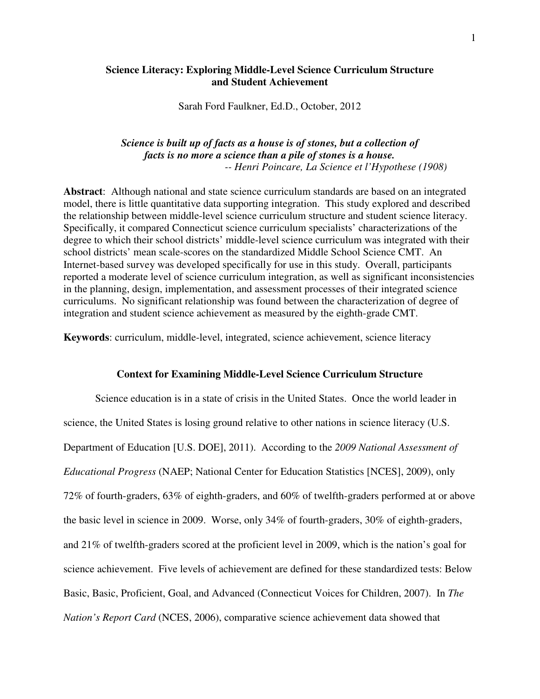## **Science Literacy: Exploring Middle-Level Science Curriculum Structure and Student Achievement**

Sarah Ford Faulkner, Ed.D., October, 2012

## *Science is built up of facts as a house is of stones, but a collection of facts is no more a science than a pile of stones is a house. -- Henri Poincare, La Science et l'Hypothese (1908)*

**Abstract**: Although national and state science curriculum standards are based on an integrated model, there is little quantitative data supporting integration. This study explored and described the relationship between middle-level science curriculum structure and student science literacy. Specifically, it compared Connecticut science curriculum specialists' characterizations of the degree to which their school districts' middle-level science curriculum was integrated with their school districts' mean scale-scores on the standardized Middle School Science CMT. An Internet-based survey was developed specifically for use in this study. Overall, participants reported a moderate level of science curriculum integration, as well as significant inconsistencies in the planning, design, implementation, and assessment processes of their integrated science curriculums. No significant relationship was found between the characterization of degree of integration and student science achievement as measured by the eighth-grade CMT.

**Keywords**: curriculum, middle-level, integrated, science achievement, science literacy

## **Context for Examining Middle-Level Science Curriculum Structure**

 Science education is in a state of crisis in the United States. Once the world leader in science, the United States is losing ground relative to other nations in science literacy (U.S. Department of Education [U.S. DOE], 2011). According to the *2009 National Assessment of Educational Progress* (NAEP; National Center for Education Statistics [NCES], 2009), only 72% of fourth-graders, 63% of eighth-graders, and 60% of twelfth-graders performed at or above the basic level in science in 2009. Worse, only 34% of fourth-graders, 30% of eighth-graders, and 21% of twelfth-graders scored at the proficient level in 2009, which is the nation's goal for science achievement. Five levels of achievement are defined for these standardized tests: Below Basic, Basic, Proficient, Goal, and Advanced (Connecticut Voices for Children, 2007). In *The Nation's Report Card* (NCES, 2006), comparative science achievement data showed that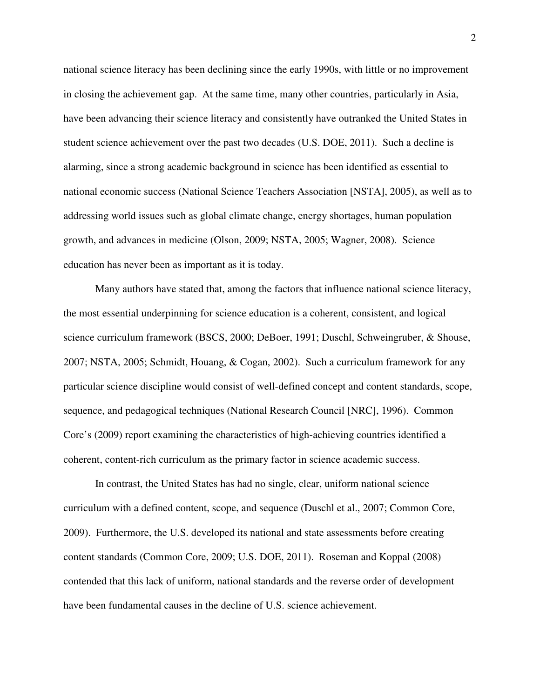national science literacy has been declining since the early 1990s, with little or no improvement in closing the achievement gap. At the same time, many other countries, particularly in Asia, have been advancing their science literacy and consistently have outranked the United States in student science achievement over the past two decades (U.S. DOE, 2011). Such a decline is alarming, since a strong academic background in science has been identified as essential to national economic success (National Science Teachers Association [NSTA], 2005), as well as to addressing world issues such as global climate change, energy shortages, human population growth, and advances in medicine (Olson, 2009; NSTA, 2005; Wagner, 2008). Science education has never been as important as it is today.

Many authors have stated that, among the factors that influence national science literacy, the most essential underpinning for science education is a coherent, consistent, and logical science curriculum framework (BSCS, 2000; DeBoer, 1991; Duschl, Schweingruber, & Shouse, 2007; NSTA, 2005; Schmidt, Houang, & Cogan, 2002). Such a curriculum framework for any particular science discipline would consist of well-defined concept and content standards, scope, sequence, and pedagogical techniques (National Research Council [NRC], 1996). Common Core's (2009) report examining the characteristics of high-achieving countries identified a coherent, content-rich curriculum as the primary factor in science academic success.

In contrast, the United States has had no single, clear, uniform national science curriculum with a defined content, scope, and sequence (Duschl et al., 2007; Common Core, 2009). Furthermore, the U.S. developed its national and state assessments before creating content standards (Common Core, 2009; U.S. DOE, 2011). Roseman and Koppal (2008) contended that this lack of uniform, national standards and the reverse order of development have been fundamental causes in the decline of U.S. science achievement.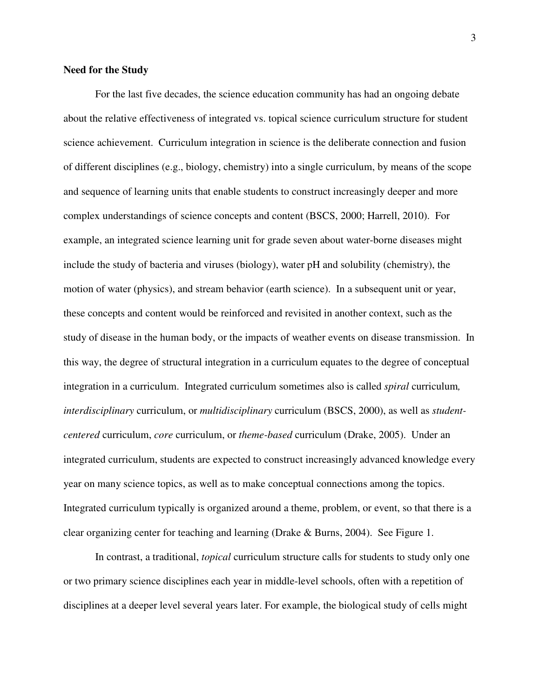#### **Need for the Study**

For the last five decades, the science education community has had an ongoing debate about the relative effectiveness of integrated vs. topical science curriculum structure for student science achievement. Curriculum integration in science is the deliberate connection and fusion of different disciplines (e.g., biology, chemistry) into a single curriculum, by means of the scope and sequence of learning units that enable students to construct increasingly deeper and more complex understandings of science concepts and content (BSCS, 2000; Harrell, 2010). For example, an integrated science learning unit for grade seven about water-borne diseases might include the study of bacteria and viruses (biology), water pH and solubility (chemistry), the motion of water (physics), and stream behavior (earth science). In a subsequent unit or year, these concepts and content would be reinforced and revisited in another context, such as the study of disease in the human body, or the impacts of weather events on disease transmission. In this way, the degree of structural integration in a curriculum equates to the degree of conceptual integration in a curriculum. Integrated curriculum sometimes also is called *spiral* curriculum*, interdisciplinary* curriculum, or *multidisciplinary* curriculum (BSCS, 2000), as well as *studentcentered* curriculum, *core* curriculum, or *theme-based* curriculum (Drake, 2005). Under an integrated curriculum, students are expected to construct increasingly advanced knowledge every year on many science topics, as well as to make conceptual connections among the topics. Integrated curriculum typically is organized around a theme, problem, or event, so that there is a clear organizing center for teaching and learning (Drake & Burns, 2004). See Figure 1.

 In contrast, a traditional, *topical* curriculum structure calls for students to study only one or two primary science disciplines each year in middle-level schools, often with a repetition of disciplines at a deeper level several years later. For example, the biological study of cells might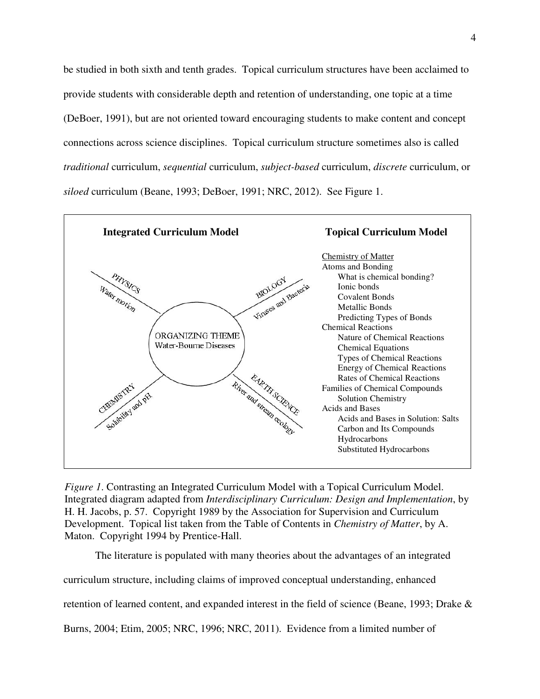be studied in both sixth and tenth grades. Topical curriculum structures have been acclaimed to provide students with considerable depth and retention of understanding, one topic at a time (DeBoer, 1991), but are not oriented toward encouraging students to make content and concept connections across science disciplines. Topical curriculum structure sometimes also is called *traditional* curriculum, *sequential* curriculum, *subject-based* curriculum, *discrete* curriculum, or *siloed* curriculum (Beane, 1993; DeBoer, 1991; NRC, 2012). See Figure 1.



*Figure 1*. Contrasting an Integrated Curriculum Model with a Topical Curriculum Model. Integrated diagram adapted from *Interdisciplinary Curriculum: Design and Implementation*, by H. H. Jacobs, p. 57. Copyright 1989 by the Association for Supervision and Curriculum Development. Topical list taken from the Table of Contents in *Chemistry of Matter*, by A. Maton. Copyright 1994 by Prentice-Hall.

The literature is populated with many theories about the advantages of an integrated

curriculum structure, including claims of improved conceptual understanding, enhanced

retention of learned content, and expanded interest in the field of science (Beane, 1993; Drake &

Burns, 2004; Etim, 2005; NRC, 1996; NRC, 2011). Evidence from a limited number of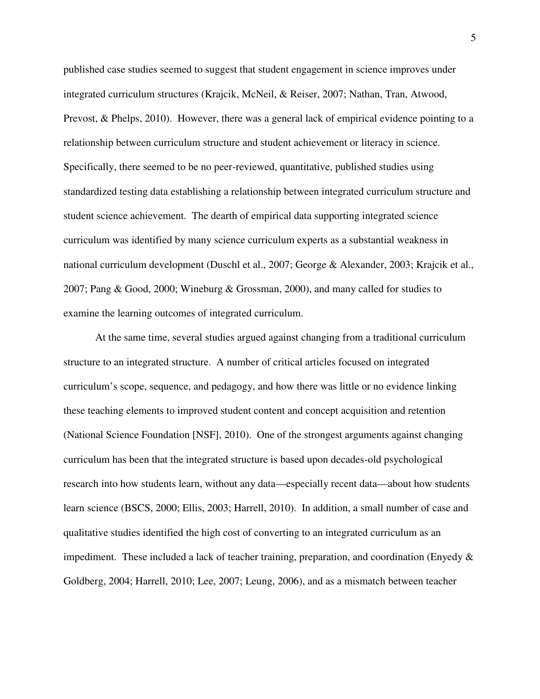published case studies seemed to suggest that student engagement in science improves under integrated curriculum structures (Krajcik, McNeil, & Reiser, 2007; Nathan, Tran, Atwood, Prevost, & Phelps, 2010). However, there was a general lack of empirical evidence pointing to a relationship between curriculum structure and student achievement or literacy in science. Specifically, there seemed to be no peer-reviewed, quantitative, published studies using standardized testing data establishing a relationship between integrated curriculum structure and student science achievement. The dearth of empirical data supporting integrated science curriculum was identified by many science curriculum experts as a substantial weakness in national curriculum development (Duschl et al., 2007; George & Alexander, 2003; Krajcik et al., 2007; Pang & Good, 2000; Wineburg & Grossman, 2000), and many called for studies to examine the learning outcomes of integrated curriculum.

At the same time, several studies argued against changing from a traditional curriculum structure to an integrated structure. A number of critical articles focused on integrated curriculum's scope, sequence, and pedagogy, and how there was little or no evidence linking these teaching elements to improved student content and concept acquisition and retention (National Science Foundation [NSF], 2010). One of the strongest arguments against changing curriculum has been that the integrated structure is based upon decades-old psychological research into how students learn, without any data—especially recent data—about how students learn science (BSCS, 2000; Ellis, 2003; Harrell, 2010). In addition, a small number of case and qualitative studies identified the high cost of converting to an integrated curriculum as an impediment. These included a lack of teacher training, preparation, and coordination (Enyedy  $\&$ Goldberg, 2004; Harrell, 2010; Lee, 2007; Leung, 2006), and as a mismatch between teacher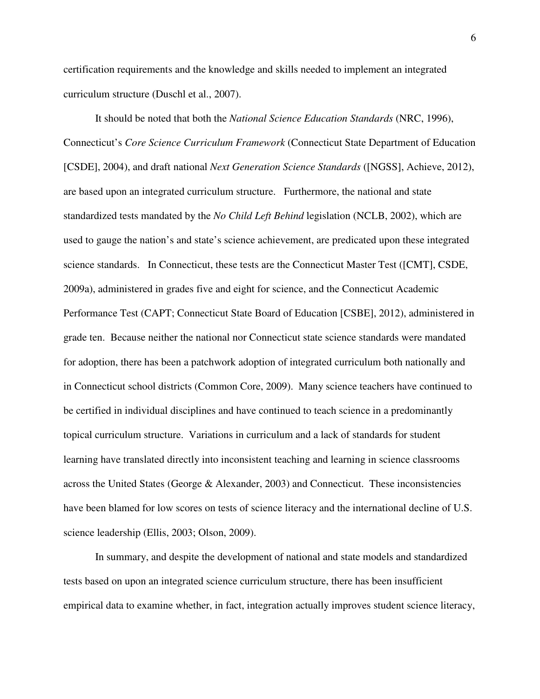certification requirements and the knowledge and skills needed to implement an integrated curriculum structure (Duschl et al., 2007).

It should be noted that both the *National Science Education Standards* (NRC, 1996), Connecticut's *Core Science Curriculum Framework* (Connecticut State Department of Education [CSDE], 2004), and draft national *Next Generation Science Standards* ([NGSS], Achieve, 2012), are based upon an integrated curriculum structure. Furthermore, the national and state standardized tests mandated by the *No Child Left Behind* legislation (NCLB, 2002), which are used to gauge the nation's and state's science achievement, are predicated upon these integrated science standards. In Connecticut, these tests are the Connecticut Master Test ([CMT], CSDE, 2009a), administered in grades five and eight for science, and the Connecticut Academic Performance Test (CAPT; Connecticut State Board of Education [CSBE], 2012), administered in grade ten. Because neither the national nor Connecticut state science standards were mandated for adoption, there has been a patchwork adoption of integrated curriculum both nationally and in Connecticut school districts (Common Core, 2009). Many science teachers have continued to be certified in individual disciplines and have continued to teach science in a predominantly topical curriculum structure. Variations in curriculum and a lack of standards for student learning have translated directly into inconsistent teaching and learning in science classrooms across the United States (George & Alexander, 2003) and Connecticut. These inconsistencies have been blamed for low scores on tests of science literacy and the international decline of U.S. science leadership (Ellis, 2003; Olson, 2009).

 In summary, and despite the development of national and state models and standardized tests based on upon an integrated science curriculum structure, there has been insufficient empirical data to examine whether, in fact, integration actually improves student science literacy,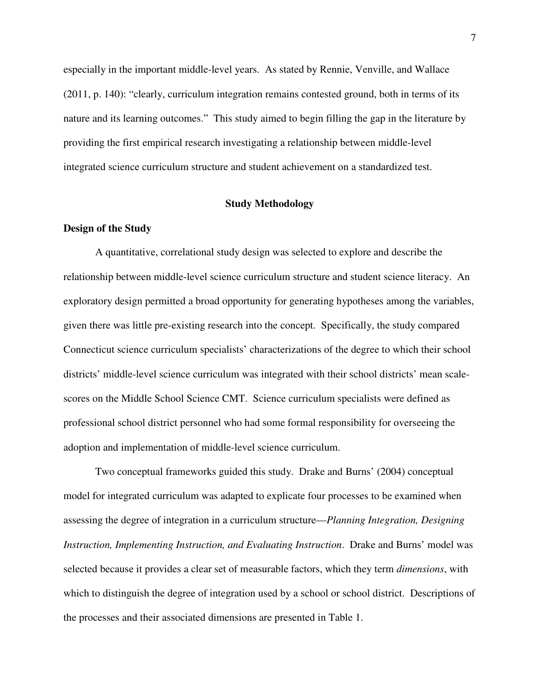especially in the important middle-level years. As stated by Rennie, Venville, and Wallace (2011, p. 140): "clearly, curriculum integration remains contested ground, both in terms of its nature and its learning outcomes." This study aimed to begin filling the gap in the literature by providing the first empirical research investigating a relationship between middle-level integrated science curriculum structure and student achievement on a standardized test.

#### **Study Methodology**

#### **Design of the Study**

 A quantitative, correlational study design was selected to explore and describe the relationship between middle-level science curriculum structure and student science literacy. An exploratory design permitted a broad opportunity for generating hypotheses among the variables, given there was little pre-existing research into the concept. Specifically, the study compared Connecticut science curriculum specialists' characterizations of the degree to which their school districts' middle-level science curriculum was integrated with their school districts' mean scalescores on the Middle School Science CMT. Science curriculum specialists were defined as professional school district personnel who had some formal responsibility for overseeing the adoption and implementation of middle-level science curriculum.

 Two conceptual frameworks guided this study. Drake and Burns' (2004) conceptual model for integrated curriculum was adapted to explicate four processes to be examined when assessing the degree of integration in a curriculum structure—*Planning Integration, Designing Instruction, Implementing Instruction, and Evaluating Instruction*. Drake and Burns' model was selected because it provides a clear set of measurable factors, which they term *dimensions*, with which to distinguish the degree of integration used by a school or school district. Descriptions of the processes and their associated dimensions are presented in Table 1.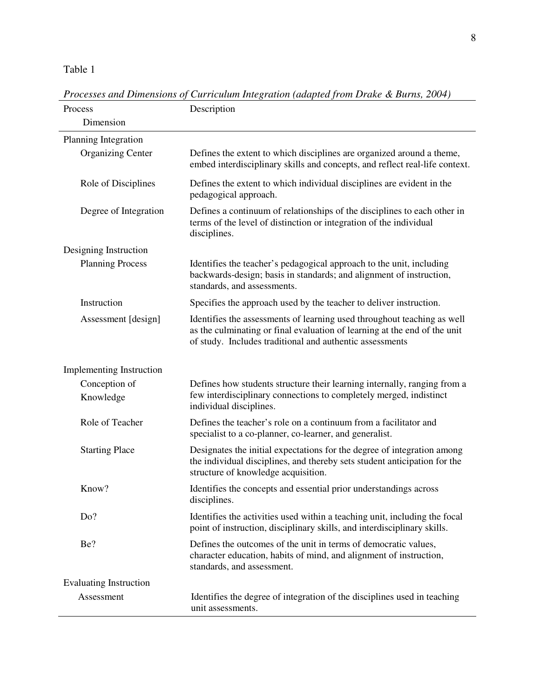# Table 1

| Process                         | Description                                                                                                                                                                                                      |
|---------------------------------|------------------------------------------------------------------------------------------------------------------------------------------------------------------------------------------------------------------|
| Dimension                       |                                                                                                                                                                                                                  |
| Planning Integration            |                                                                                                                                                                                                                  |
| <b>Organizing Center</b>        | Defines the extent to which disciplines are organized around a theme,<br>embed interdisciplinary skills and concepts, and reflect real-life context.                                                             |
| Role of Disciplines             | Defines the extent to which individual disciplines are evident in the<br>pedagogical approach.                                                                                                                   |
| Degree of Integration           | Defines a continuum of relationships of the disciplines to each other in<br>terms of the level of distinction or integration of the individual<br>disciplines.                                                   |
| Designing Instruction           |                                                                                                                                                                                                                  |
| <b>Planning Process</b>         | Identifies the teacher's pedagogical approach to the unit, including<br>backwards-design; basis in standards; and alignment of instruction,<br>standards, and assessments.                                       |
| Instruction                     | Specifies the approach used by the teacher to deliver instruction.                                                                                                                                               |
| Assessment [design]             | Identifies the assessments of learning used throughout teaching as well<br>as the culminating or final evaluation of learning at the end of the unit<br>of study. Includes traditional and authentic assessments |
| <b>Implementing Instruction</b> |                                                                                                                                                                                                                  |
| Conception of<br>Knowledge      | Defines how students structure their learning internally, ranging from a<br>few interdisciplinary connections to completely merged, indistinct<br>individual disciplines.                                        |
| Role of Teacher                 | Defines the teacher's role on a continuum from a facilitator and<br>specialist to a co-planner, co-learner, and generalist.                                                                                      |
| <b>Starting Place</b>           | Designates the initial expectations for the degree of integration among<br>the individual disciplines, and thereby sets student anticipation for the<br>structure of knowledge acquisition.                      |
| Know?                           | Identifies the concepts and essential prior understandings across<br>disciplines.                                                                                                                                |
| Do?                             | Identifies the activities used within a teaching unit, including the focal<br>point of instruction, disciplinary skills, and interdisciplinary skills.                                                           |
| Be?                             | Defines the outcomes of the unit in terms of democratic values,<br>character education, habits of mind, and alignment of instruction,<br>standards, and assessment.                                              |
| <b>Evaluating Instruction</b>   |                                                                                                                                                                                                                  |
| Assessment                      | Identifies the degree of integration of the disciplines used in teaching<br>unit assessments.                                                                                                                    |

*Processes and Dimensions of Curriculum Integration (adapted from Drake & Burns, 2004)*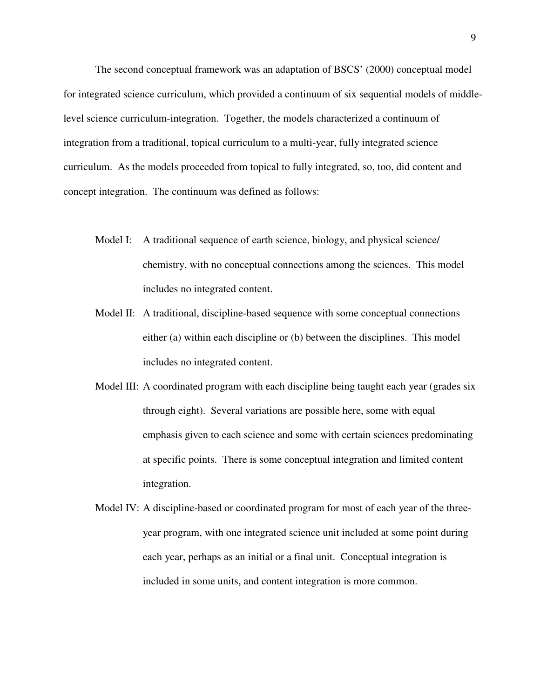The second conceptual framework was an adaptation of BSCS' (2000) conceptual model for integrated science curriculum, which provided a continuum of six sequential models of middlelevel science curriculum-integration. Together, the models characterized a continuum of integration from a traditional, topical curriculum to a multi-year, fully integrated science curriculum. As the models proceeded from topical to fully integrated, so, too, did content and concept integration. The continuum was defined as follows:

- Model I: A traditional sequence of earth science, biology, and physical science/ chemistry, with no conceptual connections among the sciences. This model includes no integrated content.
- Model II: A traditional, discipline-based sequence with some conceptual connections either (a) within each discipline or (b) between the disciplines. This model includes no integrated content.
- Model III: A coordinated program with each discipline being taught each year (grades six through eight). Several variations are possible here, some with equal emphasis given to each science and some with certain sciences predominating at specific points. There is some conceptual integration and limited content integration.
- Model IV: A discipline-based or coordinated program for most of each year of the threeyear program, with one integrated science unit included at some point during each year, perhaps as an initial or a final unit. Conceptual integration is included in some units, and content integration is more common.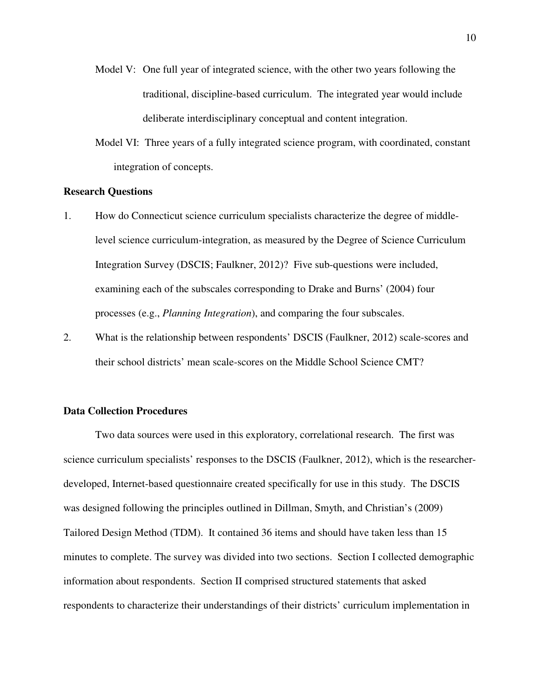- Model V: One full year of integrated science, with the other two years following the traditional, discipline-based curriculum. The integrated year would include deliberate interdisciplinary conceptual and content integration.
- Model VI: Three years of a fully integrated science program, with coordinated, constant integration of concepts.

#### **Research Questions**

- 1. How do Connecticut science curriculum specialists characterize the degree of middlelevel science curriculum-integration, as measured by the Degree of Science Curriculum Integration Survey (DSCIS; Faulkner, 2012)? Five sub-questions were included, examining each of the subscales corresponding to Drake and Burns' (2004) four processes (e.g., *Planning Integration*), and comparing the four subscales.
- 2. What is the relationship between respondents' DSCIS (Faulkner, 2012) scale-scores and their school districts' mean scale-scores on the Middle School Science CMT?

#### **Data Collection Procedures**

 Two data sources were used in this exploratory, correlational research. The first was science curriculum specialists' responses to the DSCIS (Faulkner, 2012), which is the researcherdeveloped, Internet-based questionnaire created specifically for use in this study. The DSCIS was designed following the principles outlined in Dillman, Smyth, and Christian's (2009) Tailored Design Method (TDM). It contained 36 items and should have taken less than 15 minutes to complete. The survey was divided into two sections. Section I collected demographic information about respondents. Section II comprised structured statements that asked respondents to characterize their understandings of their districts' curriculum implementation in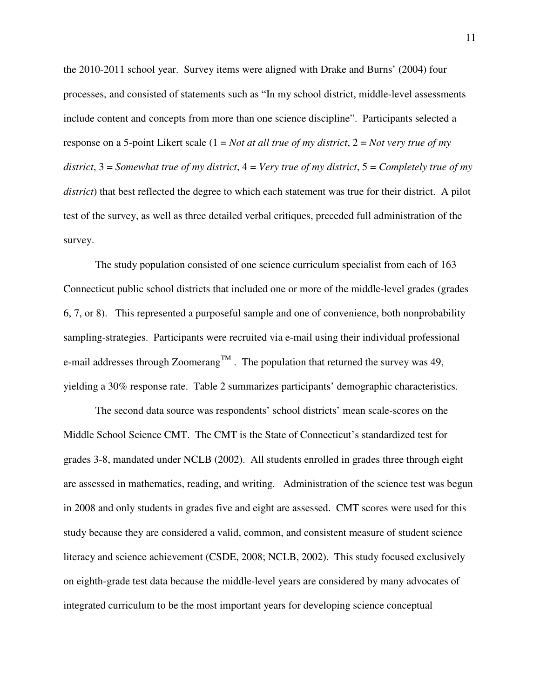the 2010-2011 school year. Survey items were aligned with Drake and Burns' (2004) four processes, and consisted of statements such as "In my school district, middle-level assessments include content and concepts from more than one science discipline". Participants selected a response on a 5-point Likert scale (1 = *Not at all true of my district*, 2 = *Not very true of my district*, 3 = *Somewhat true of my district*, 4 = *Very true of my district*, 5 = *Completely true of my district*) that best reflected the degree to which each statement was true for their district. A pilot test of the survey, as well as three detailed verbal critiques, preceded full administration of the survey.

The study population consisted of one science curriculum specialist from each of 163 Connecticut public school districts that included one or more of the middle-level grades (grades 6, 7, or 8). This represented a purposeful sample and one of convenience, both nonprobability sampling-strategies. Participants were recruited via e-mail using their individual professional e-mail addresses through Zoomerang<sup>TM</sup>. The population that returned the survey was 49, yielding a 30% response rate. Table 2 summarizes participants' demographic characteristics.

 The second data source was respondents' school districts' mean scale-scores on the Middle School Science CMT. The CMT is the State of Connecticut's standardized test for grades 3-8, mandated under NCLB (2002). All students enrolled in grades three through eight are assessed in mathematics, reading, and writing. Administration of the science test was begun in 2008 and only students in grades five and eight are assessed. CMT scores were used for this study because they are considered a valid, common, and consistent measure of student science literacy and science achievement (CSDE, 2008; NCLB, 2002). This study focused exclusively on eighth-grade test data because the middle-level years are considered by many advocates of integrated curriculum to be the most important years for developing science conceptual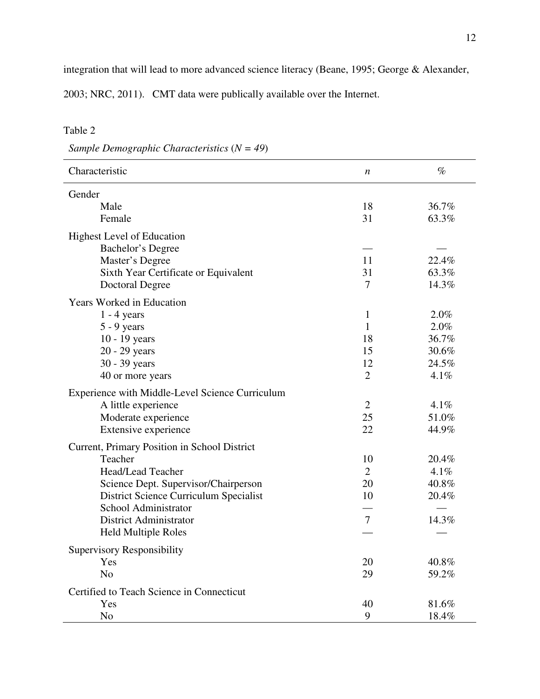integration that will lead to more advanced science literacy (Beane, 1995; George & Alexander,

2003; NRC, 2011). CMT data were publically available over the Internet.

# Table 2

*Sample Demographic Characteristics* (*N = 49*)

| Characteristic                                  | $\boldsymbol{n}$ | $\%$  |
|-------------------------------------------------|------------------|-------|
| Gender                                          |                  |       |
| Male                                            | 18               | 36.7% |
| Female                                          | 31               | 63.3% |
| <b>Highest Level of Education</b>               |                  |       |
| Bachelor's Degree                               |                  |       |
| Master's Degree                                 | 11               | 22.4% |
| Sixth Year Certificate or Equivalent            | 31               | 63.3% |
| <b>Doctoral Degree</b>                          | 7                | 14.3% |
| <b>Years Worked in Education</b>                |                  |       |
| $1 - 4$ years                                   | $\mathbf{1}$     | 2.0%  |
| $5 - 9$ years                                   | $\mathbf{1}$     | 2.0%  |
| 10 - 19 years                                   | 18               | 36.7% |
| 20 - 29 years                                   | 15               | 30.6% |
| 30 - 39 years                                   | 12               | 24.5% |
| 40 or more years                                | $\overline{2}$   | 4.1%  |
| Experience with Middle-Level Science Curriculum |                  |       |
| A little experience                             | $\overline{2}$   | 4.1%  |
| Moderate experience                             | 25               | 51.0% |
| Extensive experience                            | 22               | 44.9% |
| Current, Primary Position in School District    |                  |       |
| Teacher                                         | 10               | 20.4% |
| Head/Lead Teacher                               | $\overline{2}$   | 4.1%  |
| Science Dept. Supervisor/Chairperson            | 20               | 40.8% |
| District Science Curriculum Specialist          | 10               | 20.4% |
| School Administrator                            |                  |       |
| District Administrator                          | $\overline{7}$   | 14.3% |
| <b>Held Multiple Roles</b>                      |                  |       |
| Supervisory Responsibility                      |                  |       |
| Yes                                             | 20               | 40.8% |
| N <sub>o</sub>                                  | 29               | 59.2% |
| Certified to Teach Science in Connecticut       |                  |       |
| Yes                                             | 40               | 81.6% |
| N <sub>o</sub>                                  | 9                | 18.4% |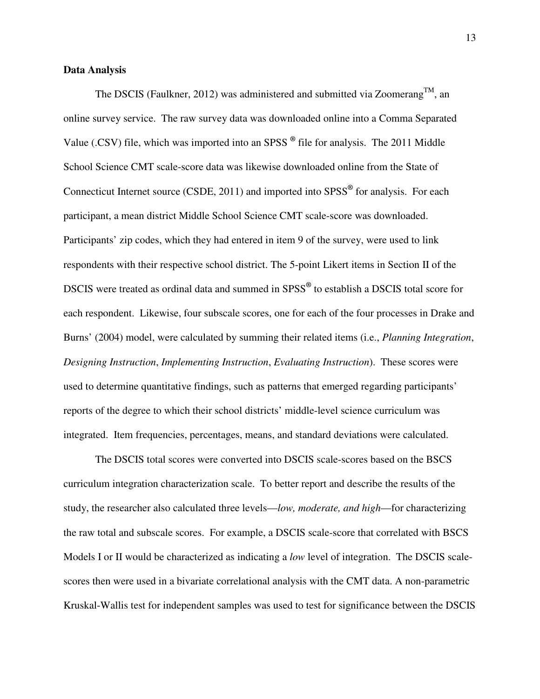#### **Data Analysis**

The DSCIS (Faulkner, 2012) was administered and submitted via Zoomerang<sup>TM</sup>, an online survey service. The raw survey data was downloaded online into a Comma Separated Value (.CSV) file, which was imported into an SPSS **®** file for analysis. The 2011 Middle School Science CMT scale-score data was likewise downloaded online from the State of Connecticut Internet source (CSDE, 2011) and imported into SPSS**®** for analysis. For each participant, a mean district Middle School Science CMT scale-score was downloaded. Participants' zip codes, which they had entered in item 9 of the survey, were used to link respondents with their respective school district. The 5-point Likert items in Section II of the DSCIS were treated as ordinal data and summed in SPSS**®** to establish a DSCIS total score for each respondent. Likewise, four subscale scores, one for each of the four processes in Drake and Burns' (2004) model, were calculated by summing their related items (i.e., *Planning Integration*, *Designing Instruction*, *Implementing Instruction*, *Evaluating Instruction*). These scores were used to determine quantitative findings, such as patterns that emerged regarding participants' reports of the degree to which their school districts' middle-level science curriculum was integrated. Item frequencies, percentages, means, and standard deviations were calculated.

 The DSCIS total scores were converted into DSCIS scale-scores based on the BSCS curriculum integration characterization scale. To better report and describe the results of the study, the researcher also calculated three levels—*low, moderate, and high*—for characterizing the raw total and subscale scores. For example, a DSCIS scale-score that correlated with BSCS Models I or II would be characterized as indicating a *low* level of integration. The DSCIS scalescores then were used in a bivariate correlational analysis with the CMT data. A non-parametric Kruskal-Wallis test for independent samples was used to test for significance between the DSCIS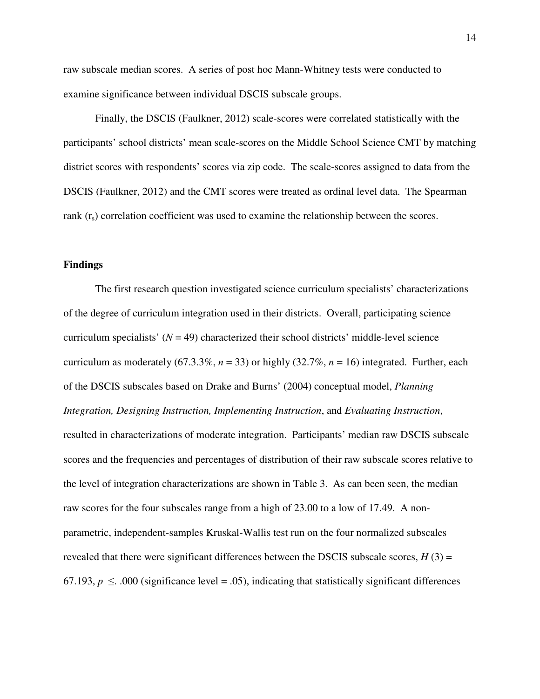raw subscale median scores. A series of post hoc Mann-Whitney tests were conducted to examine significance between individual DSCIS subscale groups.

 Finally, the DSCIS (Faulkner, 2012) scale-scores were correlated statistically with the participants' school districts' mean scale-scores on the Middle School Science CMT by matching district scores with respondents' scores via zip code. The scale-scores assigned to data from the DSCIS (Faulkner, 2012) and the CMT scores were treated as ordinal level data. The Spearman rank  $(r<sub>s</sub>)$  correlation coefficient was used to examine the relationship between the scores.

#### **Findings**

 The first research question investigated science curriculum specialists' characterizations of the degree of curriculum integration used in their districts. Overall, participating science curriculum specialists'  $(N = 49)$  characterized their school districts' middle-level science curriculum as moderately (67.3.3%,  $n = 33$ ) or highly (32.7%,  $n = 16$ ) integrated. Further, each of the DSCIS subscales based on Drake and Burns' (2004) conceptual model, *Planning Integration, Designing Instruction, Implementing Instruction*, and *Evaluating Instruction*, resulted in characterizations of moderate integration. Participants' median raw DSCIS subscale scores and the frequencies and percentages of distribution of their raw subscale scores relative to the level of integration characterizations are shown in Table 3. As can been seen, the median raw scores for the four subscales range from a high of 23.00 to a low of 17.49. A nonparametric, independent-samples Kruskal-Wallis test run on the four normalized subscales revealed that there were significant differences between the DSCIS subscale scores,  $H(3)$  = 67.193,  $p \leq .000$  (significance level = .05), indicating that statistically significant differences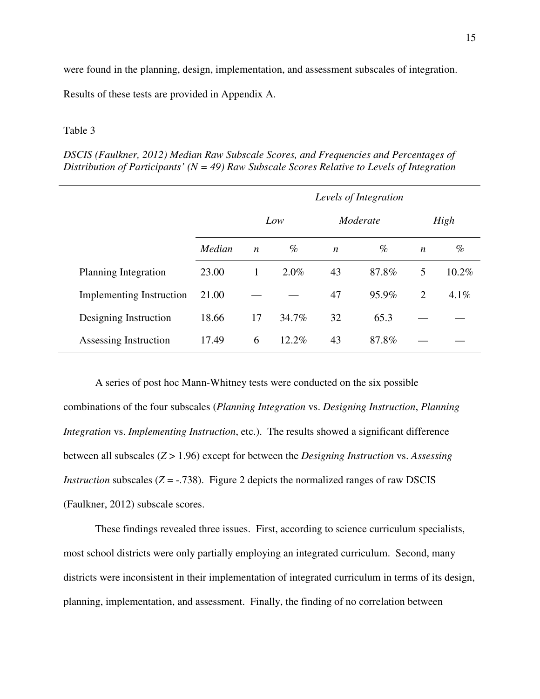were found in the planning, design, implementation, and assessment subscales of integration. Results of these tests are provided in Appendix A.

#### Table 3

*DSCIS (Faulkner, 2012) Median Raw Subscale Scores, and Frequencies and Percentages of Distribution of Participants' (N = 49) Raw Subscale Scores Relative to Levels of Integration* 

|                                 |        | Levels of Integration |       |                  |       |                  |          |
|---------------------------------|--------|-----------------------|-------|------------------|-------|------------------|----------|
|                                 |        |                       | Low   | Moderate         |       |                  | High     |
|                                 | Median | $\boldsymbol{n}$      | $\%$  | $\boldsymbol{n}$ | $\%$  | $\boldsymbol{n}$ | $\%$     |
| Planning Integration            | 23.00  | 1                     | 2.0%  | 43               | 87.8% | 5                | $10.2\%$ |
| <b>Implementing Instruction</b> | 21.00  |                       |       | 47               | 95.9% | $\overline{2}$   | $4.1\%$  |
| Designing Instruction           | 18.66  | 17                    | 34.7% | 32               | 65.3  |                  |          |
| Assessing Instruction           | 17.49  | 6                     | 12.2% | 43               | 87.8% |                  |          |

 A series of post hoc Mann-Whitney tests were conducted on the six possible combinations of the four subscales (*Planning Integration* vs. *Designing Instruction*, *Planning Integration* vs. *Implementing Instruction*, etc.). The results showed a significant difference between all subscales (*Z* > 1.96) except for between the *Designing Instruction* vs. *Assessing Instruction* subscales  $(Z = -0.738)$ . Figure 2 depicts the normalized ranges of raw DSCIS (Faulkner, 2012) subscale scores.

 These findings revealed three issues. First, according to science curriculum specialists, most school districts were only partially employing an integrated curriculum. Second, many districts were inconsistent in their implementation of integrated curriculum in terms of its design, planning, implementation, and assessment. Finally, the finding of no correlation between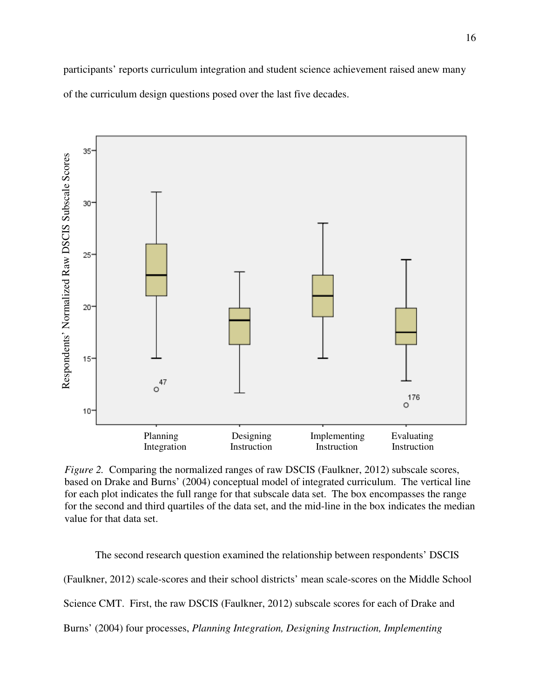participants' reports curriculum integration and student science achievement raised anew many of the curriculum design questions posed over the last five decades.



*Figure 2.* Comparing the normalized ranges of raw DSCIS (Faulkner, 2012) subscale scores, based on Drake and Burns' (2004) conceptual model of integrated curriculum. The vertical line for each plot indicates the full range for that subscale data set. The box encompasses the range for the second and third quartiles of the data set, and the mid-line in the box indicates the median value for that data set.

The second research question examined the relationship between respondents' DSCIS (Faulkner, 2012) scale-scores and their school districts' mean scale-scores on the Middle School Science CMT. First, the raw DSCIS (Faulkner, 2012) subscale scores for each of Drake and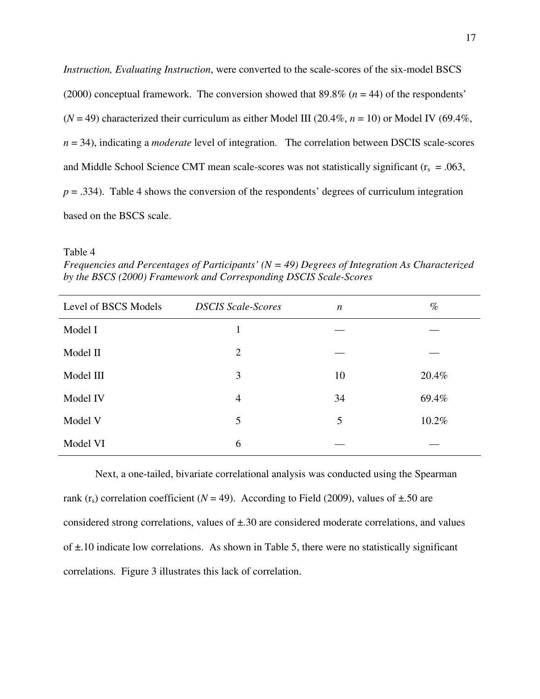*Instruction, Evaluating Instruction,* were converted to the scale-scores of the six-model BSCS (2000) conceptual framework. The conversion showed that 89.8% (*n* = 44) of the respondents'  $(N = 49)$  characterized their curriculum as either Model III (20.4%,  $n = 10$ ) or Model IV (69.4%, *n* = 34), indicating a *moderate* level of integration. The correlation between DSCIS scale-scores and Middle School Science CMT mean scale-scores was not statistically significant  $(r_s = .063$ ,  $p = .334$ ). Table 4 shows the conversion of the respondents' degrees of curriculum integration based on the BSCS scale.

Table 4

*Frequencies and Percentages of Participants' (N = 49) Degrees of Integration As Characterized by the BSCS (2000) Framework and Corresponding DSCIS Scale-Scores* 

| Level of BSCS Models | <b>DSCIS Scale-Scores</b> | $\boldsymbol{n}$ | $\%$  |
|----------------------|---------------------------|------------------|-------|
| Model I              |                           |                  |       |
| Model II             | 2                         |                  |       |
| Model III            | 3                         | 10               | 20.4% |
| Model IV             | $\overline{4}$            | 34               | 69.4% |
| Model V              | 5                         | 5                | 10.2% |
| Model VI             | 6                         |                  |       |

 Next, a one-tailed, bivariate correlational analysis was conducted using the Spearman rank ( $r_s$ ) correlation coefficient ( $N = 49$ ). According to Field (2009), values of  $\pm$ .50 are considered strong correlations, values of ±.30 are considered moderate correlations, and values of ±.10 indicate low correlations. As shown in Table 5, there were no statistically significant correlations. Figure 3 illustrates this lack of correlation.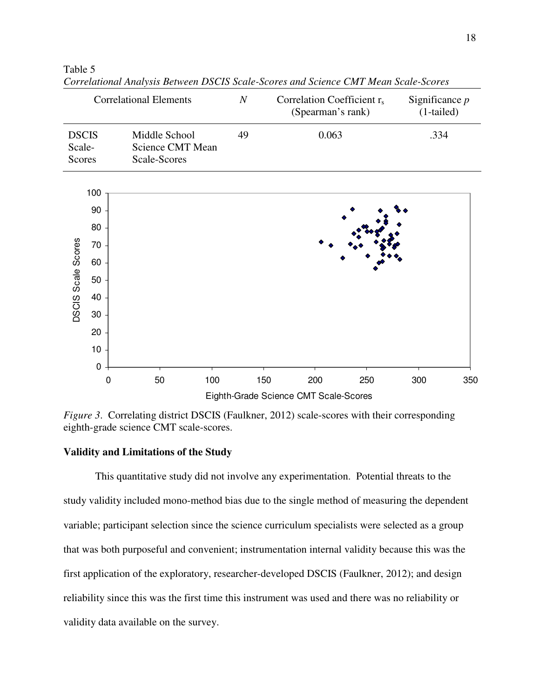|                                  |           | <b>Correlational Elements</b>                     | $\boldsymbol{N}$<br>Correlation Coefficient r <sub>s</sub><br>(Spearman's rank) |            | Significance $p$<br>$(1-tailed)$ |      |     |
|----------------------------------|-----------|---------------------------------------------------|---------------------------------------------------------------------------------|------------|----------------------------------|------|-----|
| <b>DSCIS</b><br>Scale-<br>Scores |           | Middle School<br>Science CMT Mean<br>Scale-Scores | 49                                                                              |            | 0.063                            | .334 |     |
|                                  | 100       |                                                   |                                                                                 |            |                                  |      |     |
|                                  | 90        |                                                   |                                                                                 |            |                                  |      |     |
|                                  | 80        |                                                   |                                                                                 |            |                                  |      |     |
|                                  | 70        |                                                   |                                                                                 |            |                                  |      |     |
| DSCIS Scale Scores               | 60        |                                                   |                                                                                 |            |                                  |      |     |
|                                  | 50        |                                                   |                                                                                 |            |                                  |      |     |
|                                  | 40        |                                                   |                                                                                 |            |                                  |      |     |
|                                  | $30\,$    |                                                   |                                                                                 |            |                                  |      |     |
|                                  | 20        |                                                   |                                                                                 |            |                                  |      |     |
|                                  | 10        |                                                   |                                                                                 |            |                                  |      |     |
|                                  | $\pmb{0}$ |                                                   |                                                                                 |            |                                  |      |     |
|                                  | 0         | 50                                                | 100                                                                             | 150<br>200 | 250                              | 300  | 350 |

Table 5 *Correlational Analysis Between DSCIS Scale-Scores and Science CMT Mean Scale-Scores* 

*Figure 3.* Correlating district DSCIS (Faulkner, 2012) scale-scores with their corresponding eighth-grade science CMT scale-scores.

Eighth-Grade Science CMT Scale-Scores

#### **Validity and Limitations of the Study**

This quantitative study did not involve any experimentation. Potential threats to the study validity included mono-method bias due to the single method of measuring the dependent variable; participant selection since the science curriculum specialists were selected as a group that was both purposeful and convenient; instrumentation internal validity because this was the first application of the exploratory, researcher-developed DSCIS (Faulkner, 2012); and design reliability since this was the first time this instrument was used and there was no reliability or validity data available on the survey.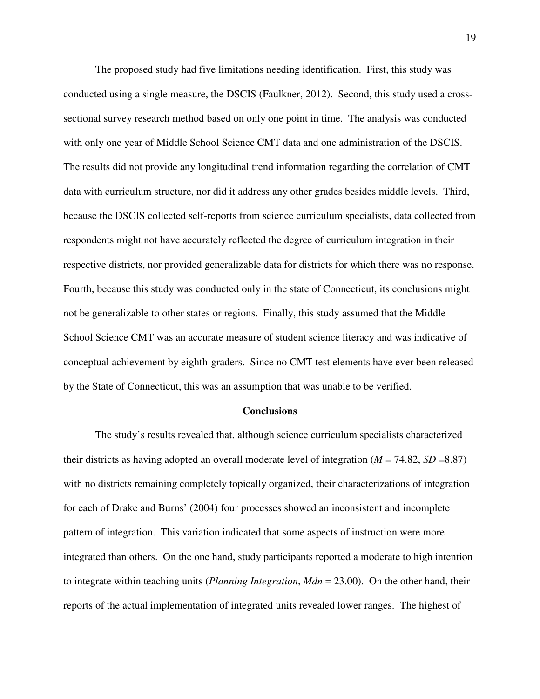The proposed study had five limitations needing identification. First, this study was conducted using a single measure, the DSCIS (Faulkner, 2012). Second, this study used a crosssectional survey research method based on only one point in time. The analysis was conducted with only one year of Middle School Science CMT data and one administration of the DSCIS. The results did not provide any longitudinal trend information regarding the correlation of CMT data with curriculum structure, nor did it address any other grades besides middle levels. Third, because the DSCIS collected self-reports from science curriculum specialists, data collected from respondents might not have accurately reflected the degree of curriculum integration in their respective districts, nor provided generalizable data for districts for which there was no response. Fourth, because this study was conducted only in the state of Connecticut, its conclusions might not be generalizable to other states or regions. Finally, this study assumed that the Middle School Science CMT was an accurate measure of student science literacy and was indicative of conceptual achievement by eighth-graders. Since no CMT test elements have ever been released by the State of Connecticut, this was an assumption that was unable to be verified.

#### **Conclusions**

 The study's results revealed that, although science curriculum specialists characterized their districts as having adopted an overall moderate level of integration (*M* = 74.82, *SD* =8.87) with no districts remaining completely topically organized, their characterizations of integration for each of Drake and Burns' (2004) four processes showed an inconsistent and incomplete pattern of integration. This variation indicated that some aspects of instruction were more integrated than others. On the one hand, study participants reported a moderate to high intention to integrate within teaching units (*Planning Integration*, *Mdn* = 23.00). On the other hand, their reports of the actual implementation of integrated units revealed lower ranges. The highest of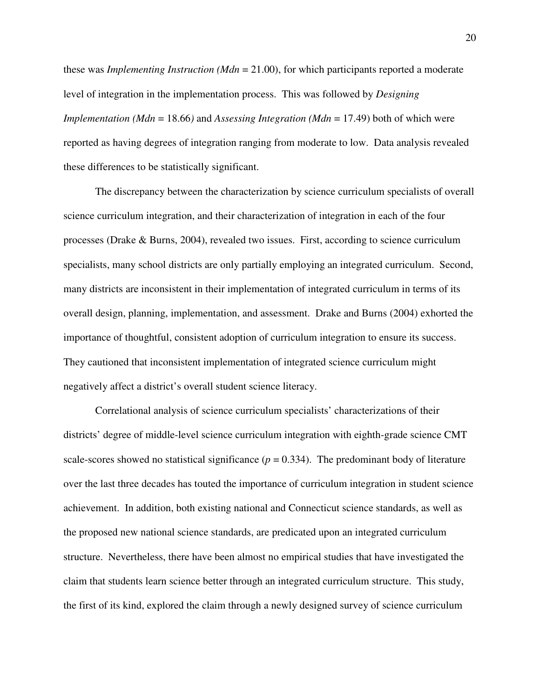these was *Implementing Instruction (Mdn* = 21.00), for which participants reported a moderate level of integration in the implementation process. This was followed by *Designing Implementation (Mdn* = 18.66*)* and *Assessing Integration (Mdn* = 17.49) both of which were reported as having degrees of integration ranging from moderate to low. Data analysis revealed these differences to be statistically significant.

 The discrepancy between the characterization by science curriculum specialists of overall science curriculum integration, and their characterization of integration in each of the four processes (Drake & Burns, 2004), revealed two issues. First, according to science curriculum specialists, many school districts are only partially employing an integrated curriculum. Second, many districts are inconsistent in their implementation of integrated curriculum in terms of its overall design, planning, implementation, and assessment. Drake and Burns (2004) exhorted the importance of thoughtful, consistent adoption of curriculum integration to ensure its success. They cautioned that inconsistent implementation of integrated science curriculum might negatively affect a district's overall student science literacy.

 Correlational analysis of science curriculum specialists' characterizations of their districts' degree of middle-level science curriculum integration with eighth-grade science CMT scale-scores showed no statistical significance  $(p = 0.334)$ . The predominant body of literature over the last three decades has touted the importance of curriculum integration in student science achievement. In addition, both existing national and Connecticut science standards, as well as the proposed new national science standards, are predicated upon an integrated curriculum structure. Nevertheless, there have been almost no empirical studies that have investigated the claim that students learn science better through an integrated curriculum structure. This study, the first of its kind, explored the claim through a newly designed survey of science curriculum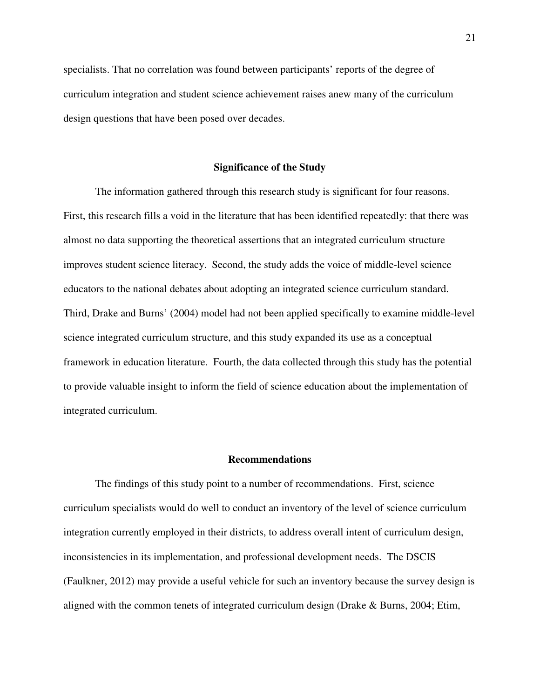specialists. That no correlation was found between participants' reports of the degree of curriculum integration and student science achievement raises anew many of the curriculum design questions that have been posed over decades.

#### **Significance of the Study**

 The information gathered through this research study is significant for four reasons. First, this research fills a void in the literature that has been identified repeatedly: that there was almost no data supporting the theoretical assertions that an integrated curriculum structure improves student science literacy. Second, the study adds the voice of middle-level science educators to the national debates about adopting an integrated science curriculum standard. Third, Drake and Burns' (2004) model had not been applied specifically to examine middle-level science integrated curriculum structure, and this study expanded its use as a conceptual framework in education literature. Fourth, the data collected through this study has the potential to provide valuable insight to inform the field of science education about the implementation of integrated curriculum.

#### **Recommendations**

 The findings of this study point to a number of recommendations. First, science curriculum specialists would do well to conduct an inventory of the level of science curriculum integration currently employed in their districts, to address overall intent of curriculum design, inconsistencies in its implementation, and professional development needs. The DSCIS (Faulkner, 2012) may provide a useful vehicle for such an inventory because the survey design is aligned with the common tenets of integrated curriculum design (Drake & Burns, 2004; Etim,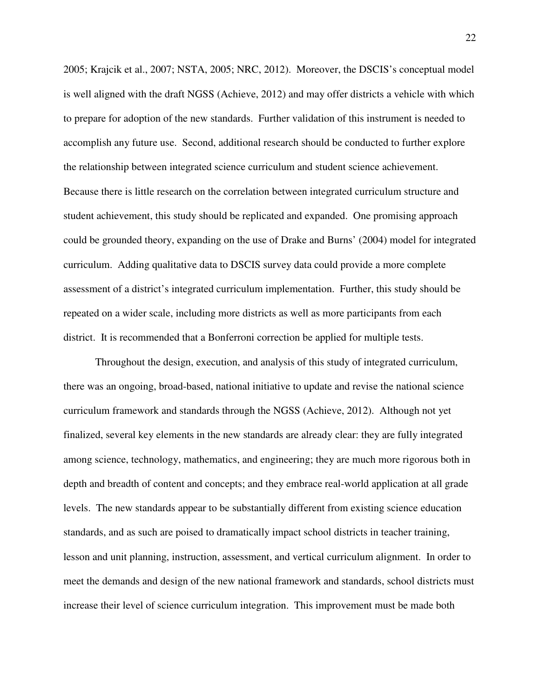2005; Krajcik et al., 2007; NSTA, 2005; NRC, 2012). Moreover, the DSCIS's conceptual model is well aligned with the draft NGSS (Achieve, 2012) and may offer districts a vehicle with which to prepare for adoption of the new standards. Further validation of this instrument is needed to accomplish any future use. Second, additional research should be conducted to further explore the relationship between integrated science curriculum and student science achievement. Because there is little research on the correlation between integrated curriculum structure and student achievement, this study should be replicated and expanded. One promising approach could be grounded theory, expanding on the use of Drake and Burns' (2004) model for integrated curriculum. Adding qualitative data to DSCIS survey data could provide a more complete assessment of a district's integrated curriculum implementation. Further, this study should be repeated on a wider scale, including more districts as well as more participants from each district. It is recommended that a Bonferroni correction be applied for multiple tests.

 Throughout the design, execution, and analysis of this study of integrated curriculum, there was an ongoing, broad-based, national initiative to update and revise the national science curriculum framework and standards through the NGSS (Achieve, 2012). Although not yet finalized, several key elements in the new standards are already clear: they are fully integrated among science, technology, mathematics, and engineering; they are much more rigorous both in depth and breadth of content and concepts; and they embrace real-world application at all grade levels. The new standards appear to be substantially different from existing science education standards, and as such are poised to dramatically impact school districts in teacher training, lesson and unit planning, instruction, assessment, and vertical curriculum alignment. In order to meet the demands and design of the new national framework and standards, school districts must increase their level of science curriculum integration. This improvement must be made both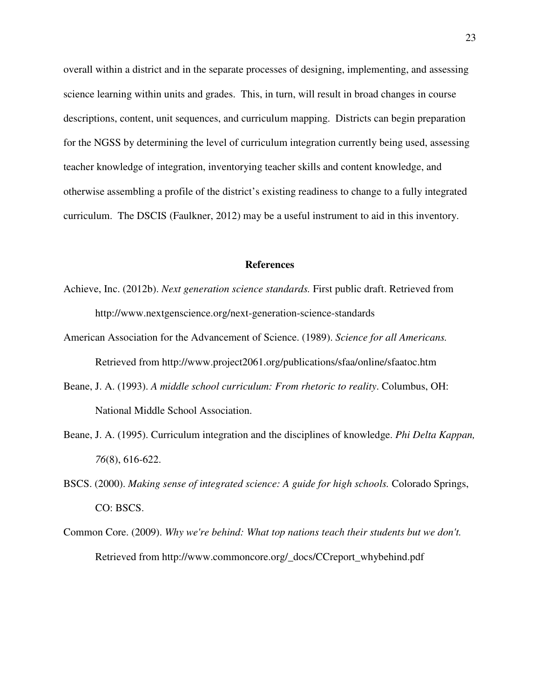overall within a district and in the separate processes of designing, implementing, and assessing science learning within units and grades. This, in turn, will result in broad changes in course descriptions, content, unit sequences, and curriculum mapping. Districts can begin preparation for the NGSS by determining the level of curriculum integration currently being used, assessing teacher knowledge of integration, inventorying teacher skills and content knowledge, and otherwise assembling a profile of the district's existing readiness to change to a fully integrated curriculum. The DSCIS (Faulkner, 2012) may be a useful instrument to aid in this inventory.

#### **References**

- Achieve, Inc. (2012b). *Next generation science standards.* First public draft. Retrieved from http://www.nextgenscience.org/next-generation-science-standards
- American Association for the Advancement of Science. (1989). *Science for all Americans.*  Retrieved from http://www.project2061.org/publications/sfaa/online/sfaatoc.htm
- Beane, J. A. (1993). *A middle school curriculum: From rhetoric to reality*. Columbus, OH: National Middle School Association.
- Beane, J. A. (1995). Curriculum integration and the disciplines of knowledge. *Phi Delta Kappan, 76*(8), 616-622.
- BSCS. (2000). *Making sense of integrated science: A guide for high schools.* Colorado Springs, CO: BSCS.
- Common Core. (2009). *Why we're behind: What top nations teach their students but we don't.* Retrieved from http://www.commoncore.org/\_docs/CCreport\_whybehind.pdf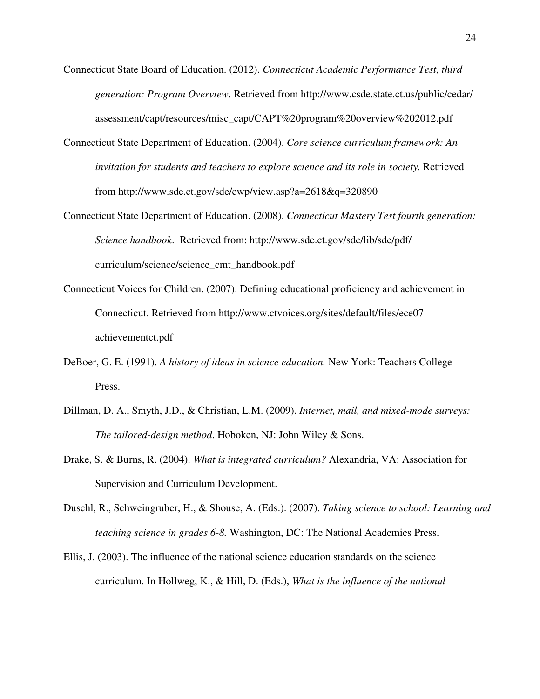- Connecticut State Board of Education. (2012). *Connecticut Academic Performance Test, third generation: Program Overview*. Retrieved from http://www.csde.state.ct.us/public/cedar/ assessment/capt/resources/misc\_capt/CAPT%20program%20overview%202012.pdf
- Connecticut State Department of Education. (2004). *Core science curriculum framework: An invitation for students and teachers to explore science and its role in society.* Retrieved from http://www.sde.ct.gov/sde/cwp/view.asp?a=2618&q=320890
- Connecticut State Department of Education. (2008). *Connecticut Mastery Test fourth generation: Science handbook*. Retrieved from: http://www.sde.ct.gov/sde/lib/sde/pdf/ curriculum/science/science\_cmt\_handbook.pdf
- Connecticut Voices for Children. (2007). Defining educational proficiency and achievement in Connecticut. Retrieved from http://www.ctvoices.org/sites/default/files/ece07 achievementct.pdf
- DeBoer, G. E. (1991). *A history of ideas in science education.* New York: Teachers College Press.
- Dillman, D. A., Smyth, J.D., & Christian, L.M. (2009). *Internet, mail, and mixed-mode surveys: The tailored-design method*. Hoboken, NJ: John Wiley & Sons.
- Drake, S. & Burns, R. (2004). *What is integrated curriculum?* Alexandria, VA: Association for Supervision and Curriculum Development.
- Duschl, R., Schweingruber, H., & Shouse, A. (Eds.). (2007). *Taking science to school: Learning and teaching science in grades 6-8.* Washington, DC: The National Academies Press.
- Ellis, J. (2003). The influence of the national science education standards on the science curriculum. In Hollweg, K., & Hill, D. (Eds.), *What is the influence of the national*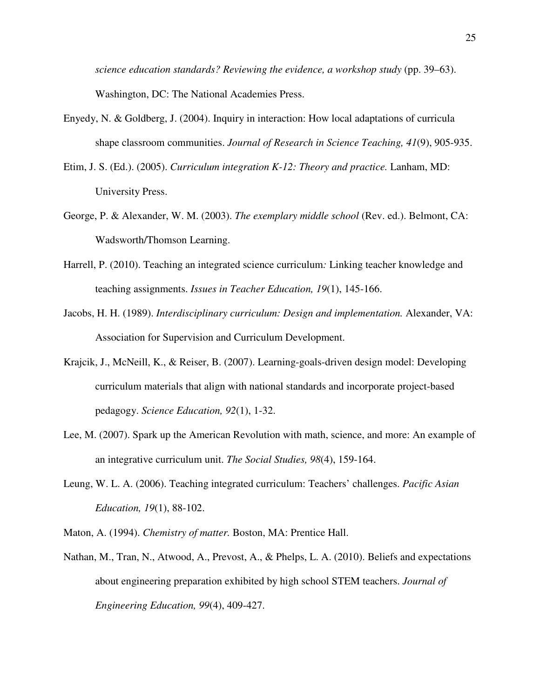*science education standards? Reviewing the evidence, a workshop study* (pp. 39–63). Washington, DC: The National Academies Press.

- Enyedy, N. & Goldberg, J. (2004). Inquiry in interaction: How local adaptations of curricula shape classroom communities. *Journal of Research in Science Teaching, 41*(9), 905-935.
- Etim, J. S. (Ed.). (2005). *Curriculum integration K-12: Theory and practice.* Lanham, MD: University Press.
- George, P. & Alexander, W. M. (2003). *The exemplary middle school* (Rev. ed.). Belmont, CA: Wadsworth/Thomson Learning.
- Harrell, P. (2010). Teaching an integrated science curriculum*:* Linking teacher knowledge and teaching assignments. *Issues in Teacher Education, 19*(1), 145-166.
- Jacobs, H. H. (1989). *Interdisciplinary curriculum: Design and implementation.* Alexander, VA: Association for Supervision and Curriculum Development.
- Krajcik, J., McNeill, K., & Reiser, B. (2007). Learning-goals-driven design model: Developing curriculum materials that align with national standards and incorporate project-based pedagogy. *Science Education, 92*(1), 1-32.
- Lee, M. (2007). Spark up the American Revolution with math, science, and more: An example of an integrative curriculum unit. *The Social Studies, 98*(4), 159-164.
- Leung, W. L. A. (2006). Teaching integrated curriculum: Teachers' challenges. *Pacific Asian Education, 19*(1), 88-102.
- Maton, A. (1994). *Chemistry of matter.* Boston, MA: Prentice Hall.
- Nathan, M., Tran, N., Atwood, A., Prevost, A., & Phelps, L. A. (2010). Beliefs and expectations about engineering preparation exhibited by high school STEM teachers. *Journal of Engineering Education, 99*(4), 409-427.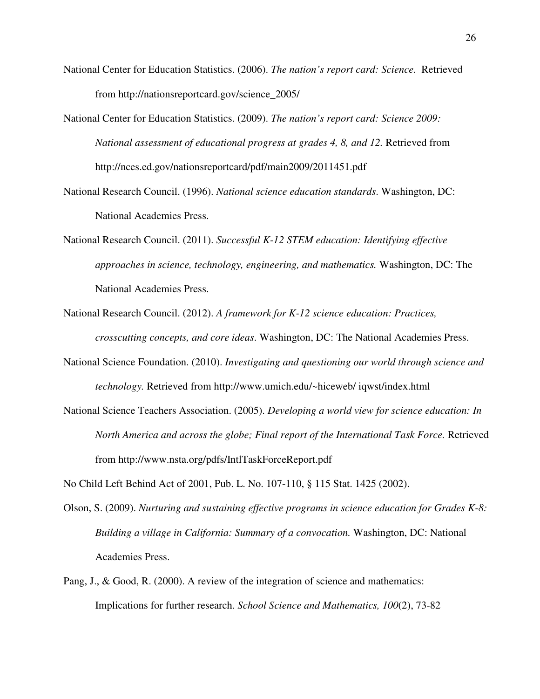- National Center for Education Statistics. (2006). *The nation's report card: Science.* Retrieved from http://nationsreportcard.gov/science\_2005/
- National Center for Education Statistics. (2009). *The nation's report card: Science 2009: National assessment of educational progress at grades 4, 8, and 12. Retrieved from* http://nces.ed.gov/nationsreportcard/pdf/main2009/2011451.pdf
- National Research Council. (1996). *National science education standards*. Washington, DC: National Academies Press.
- National Research Council. (2011). *Successful K-12 STEM education: Identifying effective approaches in science, technology, engineering, and mathematics.* Washington, DC: The National Academies Press.
- National Research Council. (2012). *A framework for K-12 science education: Practices, crosscutting concepts, and core ideas*. Washington, DC: The National Academies Press.
- National Science Foundation. (2010). *Investigating and questioning our world through science and technology.* Retrieved from http://www.umich.edu/~hiceweb/ iqwst/index.html
- National Science Teachers Association. (2005). *Developing a world view for science education: In North America and across the globe; Final report of the International Task Force.* Retrieved from http://www.nsta.org/pdfs/IntlTaskForceReport.pdf

No Child Left Behind Act of 2001, Pub. L. No. 107-110, § 115 Stat. 1425 (2002).

- Olson, S. (2009). *Nurturing and sustaining effective programs in science education for Grades K-8: Building a village in California: Summary of a convocation.* Washington, DC: National Academies Press.
- Pang, J., & Good, R. (2000). A review of the integration of science and mathematics: Implications for further research. *School Science and Mathematics, 100*(2), 73-82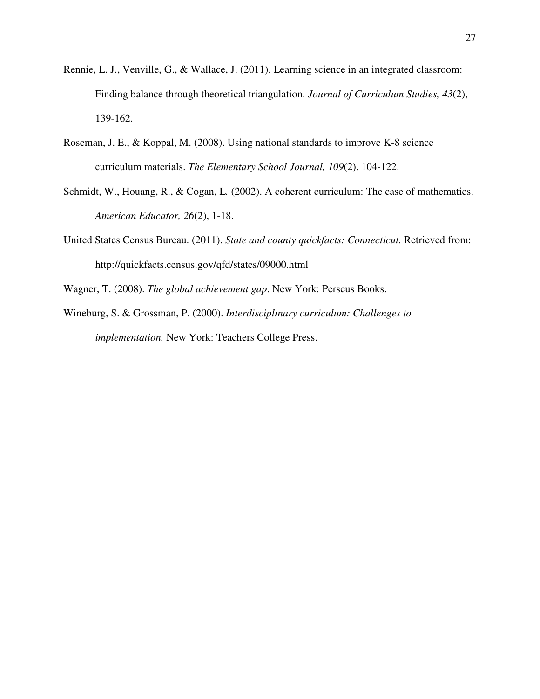- Rennie, L. J., Venville, G., & Wallace, J. (2011). Learning science in an integrated classroom: Finding balance through theoretical triangulation. *Journal of Curriculum Studies, 43*(2), 139-162.
- Roseman, J. E., & Koppal, M. (2008). Using national standards to improve K-8 science curriculum materials. *The Elementary School Journal, 109*(2), 104-122.
- Schmidt, W., Houang, R., & Cogan, L*.* (2002). A coherent curriculum: The case of mathematics. *American Educator, 26*(2), 1-18.
- United States Census Bureau. (2011). *State and county quickfacts: Connecticut.* Retrieved from: http://quickfacts.census.gov/qfd/states/09000.html
- Wagner, T. (2008). *The global achievement gap*. New York: Perseus Books.
- Wineburg, S. & Grossman, P. (2000). *Interdisciplinary curriculum: Challenges to implementation.* New York: Teachers College Press.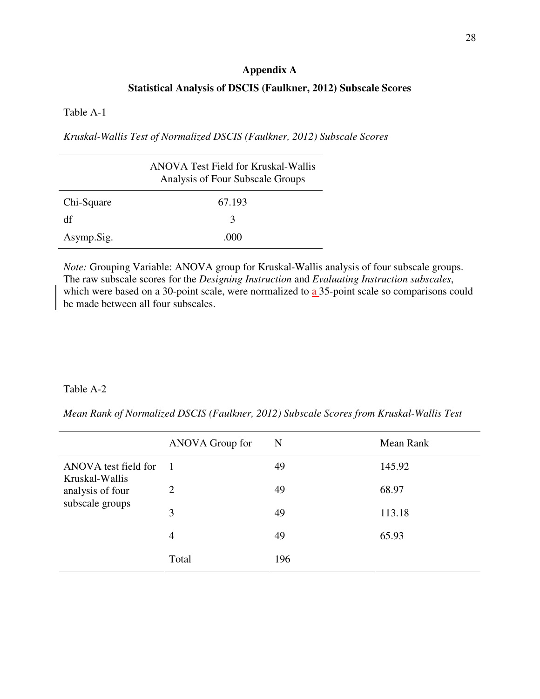#### **Appendix A**

## **Statistical Analysis of DSCIS (Faulkner, 2012) Subscale Scores**

Table A-1

*Kruskal-Wallis Test of Normalized DSCIS (Faulkner, 2012) Subscale Scores* 

|            | <b>ANOVA Test Field for Kruskal-Wallis</b><br>Analysis of Four Subscale Groups |
|------------|--------------------------------------------------------------------------------|
| Chi-Square | 67.193                                                                         |
| df         | 3                                                                              |
| Asymp.Sig. | (000)                                                                          |

*Note:* Grouping Variable: ANOVA group for Kruskal-Wallis analysis of four subscale groups. The raw subscale scores for the *Designing Instruction* and *Evaluating Instruction subscales*, which were based on a 30-point scale, were normalized to a 35-point scale so comparisons could be made between all four subscales.

# Table A-2

*Mean Rank of Normalized DSCIS (Faulkner, 2012) Subscale Scores from Kruskal-Wallis Test*

|                                        | ANOVA Group for | N   | Mean Rank |
|----------------------------------------|-----------------|-----|-----------|
| ANOVA test field for<br>Kruskal-Wallis | $\overline{1}$  | 49  | 145.92    |
| analysis of four                       | 2               | 49  | 68.97     |
| subscale groups                        | 3               | 49  | 113.18    |
|                                        | $\overline{4}$  | 49  | 65.93     |
|                                        | Total           | 196 |           |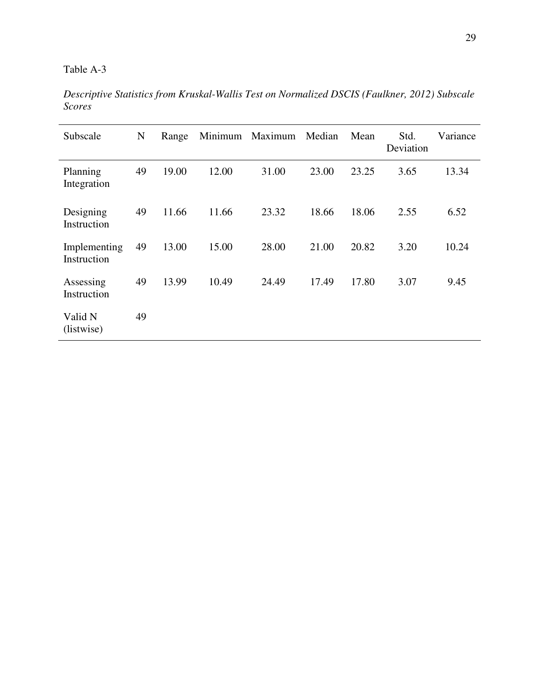*Descriptive Statistics from Kruskal-Wallis Test on Normalized DSCIS (Faulkner, 2012) Subscale Scores*

| Subscale                    | N  | Range | Minimum | Maximum | Median | Mean  | Std.<br>Deviation | Variance |
|-----------------------------|----|-------|---------|---------|--------|-------|-------------------|----------|
| Planning<br>Integration     | 49 | 19.00 | 12.00   | 31.00   | 23.00  | 23.25 | 3.65              | 13.34    |
| Designing<br>Instruction    | 49 | 11.66 | 11.66   | 23.32   | 18.66  | 18.06 | 2.55              | 6.52     |
| Implementing<br>Instruction | 49 | 13.00 | 15.00   | 28.00   | 21.00  | 20.82 | 3.20              | 10.24    |
| Assessing<br>Instruction    | 49 | 13.99 | 10.49   | 24.49   | 17.49  | 17.80 | 3.07              | 9.45     |
| Valid N<br>(listwise)       | 49 |       |         |         |        |       |                   |          |